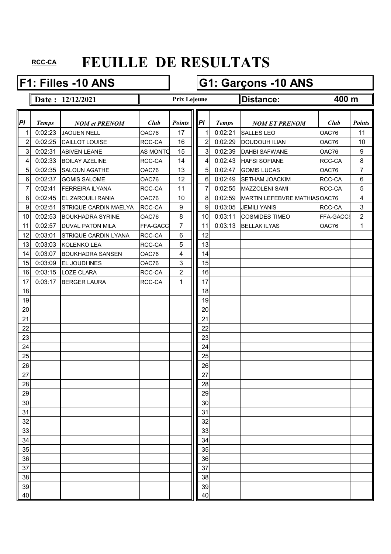### **F1: Filles -10 ANS G1: Garçons -10 ANS**

**Date : 12/12/2021 Distance:**

**Prix Lejeune**

**400 m**

| PI              | <b>Temps</b> | <b>NOM et PRENOM</b>         | Club            | <b>Points</b>  | PI             | <b>Temps</b> | <b>NOM ET PRENOM</b>         | Club     | <b>Points</b>  |
|-----------------|--------------|------------------------------|-----------------|----------------|----------------|--------------|------------------------------|----------|----------------|
| 1               | 0:02:23      | <b>JAOUEN NELL</b>           | OAC76           | 17             | 1              | 0:02:21      | <b>SALLES LEO</b>            | OAC76    | 11             |
| $\overline{2}$  | 0:02:25      | CAILLOT LOUISE               | RCC-CA          | 16             | $\overline{2}$ | 0:02:29      | <b>DOUDOUH ILIAN</b>         | OAC76    | 10             |
| 3 <sup>1</sup>  | 0:02:31      | <b>ABIVEN LEANE</b>          | <b>AS MONTO</b> | 15             | 3              | 0:02:39      | <b>DAHBI SAFWANE</b>         | OAC76    | 9              |
| $\vert 4 \vert$ | 0:02:33      | <b>BOILAY AZELINE</b>        | RCC-CA          | 14             | $\overline{4}$ | 0:02:43      | <b>HAFSI SOFIANE</b>         | RCC-CA   | 8              |
| 5 <sup>1</sup>  | 0:02:35      | <b>SALOUN AGATHE</b>         | OAC76           | 13             | 5 <sub>l</sub> | 0:02:47      | <b>GOMIS LUCAS</b>           | OAC76    | 7              |
| $6 \mid$        | 0:02:37      | <b>GOMIS SALOME</b>          | OAC76           | 12             | 6              | 0:02:49      | <b>SETHAM JOACKIM</b>        | RCC-CA   | 6              |
| 7               | 0:02:41      | FERREIRA ILYANA              | RCC-CA          | 11             | $\overline{7}$ | 0:02:55      | <b>MAZZOLENI SAMI</b>        | RCC-CA   | 5              |
| 8 <sup>1</sup>  | 0:02:45      | <b>EL ZAROUILI RANIA</b>     | OAC76           | 10             | 8 <sup>1</sup> | 0:02:59      | MARTIN LEFEBVRE MATHIASOAC76 |          | 4              |
| 9               | 0:02:51      | <b>STRIQUE CARDIN MAELYA</b> | RCC-CA          | 9              | 9              | 0:03:05      | <b>JEMILI YANIS</b>          | RCC-CA   | 3              |
| 10              | 0:02:53      | <b>BOUKHADRA SYRINE</b>      | OAC76           | 8              | 10             | 0:03:11      | <b>COSMIDES TIMEO</b>        | FFA-GACC | $\overline{2}$ |
| 11              | 0:02:57      | <b>DUVAL PATON MILA</b>      | FFA-GACC        | $\overline{7}$ | 11             | 0:03:13      | <b>BELLAK ILYAS</b>          | OAC76    | 1              |
| 12              | 0:03:01      | <b>STRIQUE CARDIN LYANA</b>  | <b>RCC-CA</b>   | 6              | 12             |              |                              |          |                |
| 13              | 0:03:03      | <b>KOLENKO LEA</b>           | RCC-CA          | 5              | 13             |              |                              |          |                |
| 14              | 0:03:07      | <b>BOUKHADRA SANSEN</b>      | OAC76           | 4              | 14             |              |                              |          |                |
| 15              | 0:03:09      | <b>EL JOUDI INES</b>         | OAC76           | $\mathbf{3}$   | 15             |              |                              |          |                |
| 16              | 0:03:15      | <b>LOZE CLARA</b>            | RCC-CA          | $\overline{c}$ | 16             |              |                              |          |                |
| 17              | 0:03:17      | <b>BERGER LAURA</b>          | RCC-CA          | 1              | 17             |              |                              |          |                |
| 18              |              |                              |                 |                | 18             |              |                              |          |                |
| 19              |              |                              |                 |                | 19             |              |                              |          |                |
| 20              |              |                              |                 |                | 20             |              |                              |          |                |
| 21              |              |                              |                 |                | 21             |              |                              |          |                |
| 22              |              |                              |                 |                | 22             |              |                              |          |                |
| 23              |              |                              |                 |                | 23             |              |                              |          |                |
| 24              |              |                              |                 |                | 24             |              |                              |          |                |
| 25              |              |                              |                 |                | 25             |              |                              |          |                |
| 26              |              |                              |                 |                | 26             |              |                              |          |                |
| 27              |              |                              |                 |                | 27             |              |                              |          |                |
| 28              |              |                              |                 |                | 28             |              |                              |          |                |
| 29              |              |                              |                 |                | 29             |              |                              |          |                |
| $30\,$          |              |                              |                 |                | 30             |              |                              |          |                |
| 31              |              |                              |                 |                | 31             |              |                              |          |                |
| 32              |              |                              |                 |                | 32             |              |                              |          |                |
| 33              |              |                              |                 |                | 33             |              |                              |          |                |
| 34              |              |                              |                 |                | 34             |              |                              |          |                |
| 35              |              |                              |                 |                | 35             |              |                              |          |                |
| 36              |              |                              |                 |                | 36             |              |                              |          |                |
| 37              |              |                              |                 |                | 37             |              |                              |          |                |
| 38              |              |                              |                 |                | 38             |              |                              |          |                |
| 39              |              |                              |                 |                | 39             |              |                              |          |                |
| 40              |              |                              |                 |                | 40             |              |                              |          |                |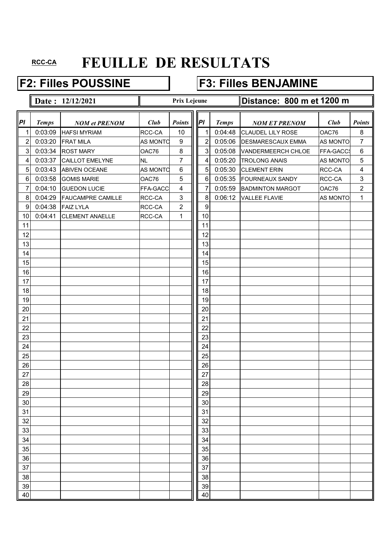## **F2: Filles POUSSINE F3: Filles BENJAMINE**

|                  |              | Date: 12/12/2021         |                 | <b>Prix Lejeune</b> |                  |              | Distance: 800 m et 1200 m |                 |                |
|------------------|--------------|--------------------------|-----------------|---------------------|------------------|--------------|---------------------------|-----------------|----------------|
| PI               | <b>Temps</b> | <b>NOM et PRENOM</b>     | Club            | Points              | PI               | <b>Temps</b> | <b>NOM ET PRENOM</b>      | Club            | <b>Points</b>  |
| 1                | 0:03:09      | <b>HAFSI MYRIAM</b>      | RCC-CA          | 10                  | 1                | 0:04:48      | <b>CLAUDEL LILY ROSE</b>  | OAC76           | 8              |
| $\overline{2}$   | 0:03:20      | <b>FRAT MILA</b>         | <b>AS MONTO</b> | 9                   | 2                | 0:05:06      | <b>DESMARESCAUX EMMA</b>  | <b>AS MONTO</b> | 7              |
| $\mathbf{3}$     | 0:03:34      | <b>ROST MARY</b>         | OAC76           | $\,8\,$             | 3                | 0:05:08      | VANDERMEERCH CHLOE        | FFA-GACCS       | $\,6$          |
| 4                | 0:03:37      | <b>CAILLOT EMELYNE</b>   | <b>NL</b>       | 7                   | 4                | 0:05:20      | <b>TROLONG ANAIS</b>      | AS MONTO        | $\overline{5}$ |
| 5                | 0:03:43      | <b>ABIVEN OCEANE</b>     | <b>AS MONTO</b> | 6                   | 5                | 0:05:30      | <b>CLEMENT ERIN</b>       | RCC-CA          | 4              |
| $\,6\,$          | 0:03:58      | <b>GOMIS MARIE</b>       | OAC76           | 5                   | 6                | 0:05:35      | <b>FOURNEAUX SANDY</b>    | RCC-CA          | 3              |
| $\overline{7}$   | 0:04:10      | <b>GUEDON LUCIE</b>      | FFA-GACC        | 4                   | 7                | 0:05:59      | <b>BADMINTON MARGOT</b>   | OAC76           | $\overline{2}$ |
| 8                | 0:04:29      | <b>FAUCAMPRE CAMILLE</b> | RCC-CA          | $\mathbf{3}$        | 8                | 0:06:12      | <b>VALLEE FLAVIE</b>      | <b>AS MONTO</b> | 1              |
| $\boldsymbol{9}$ | 0:04:38      | <b>FAIZ LYLA</b>         | RCC-CA          | $\overline{c}$      | $\boldsymbol{9}$ |              |                           |                 |                |
| 10               | 0:04:41      | <b>CLEMENT ANAELLE</b>   | RCC-CA          | 1                   | 10               |              |                           |                 |                |
| 11               |              |                          |                 |                     | 11               |              |                           |                 |                |
| 12               |              |                          |                 |                     | 12               |              |                           |                 |                |
| 13               |              |                          |                 |                     | 13               |              |                           |                 |                |
| 14               |              |                          |                 |                     | 14               |              |                           |                 |                |
| 15               |              |                          |                 |                     | 15               |              |                           |                 |                |
| 16               |              |                          |                 |                     | 16               |              |                           |                 |                |
| 17               |              |                          |                 |                     | 17               |              |                           |                 |                |
| 18               |              |                          |                 |                     | 18               |              |                           |                 |                |
| 19               |              |                          |                 |                     | 19               |              |                           |                 |                |
| 20               |              |                          |                 |                     | 20               |              |                           |                 |                |
| 21               |              |                          |                 |                     | 21               |              |                           |                 |                |
| 22               |              |                          |                 |                     | 22               |              |                           |                 |                |
| 23               |              |                          |                 |                     | 23               |              |                           |                 |                |
| 24               |              |                          |                 |                     | 24               |              |                           |                 |                |
| 25               |              |                          |                 |                     | 25               |              |                           |                 |                |
| 26               |              |                          |                 |                     | 26               |              |                           |                 |                |
| 27               |              |                          |                 |                     | 27               |              |                           |                 |                |
| 28               |              |                          |                 |                     | 28               |              |                           |                 |                |
| 29               |              |                          |                 |                     | 29               |              |                           |                 |                |
| 30               |              |                          |                 |                     | 30               |              |                           |                 |                |
| 31               |              |                          |                 |                     | 31               |              |                           |                 |                |
| 32               |              |                          |                 |                     | 32               |              |                           |                 |                |
| 33               |              |                          |                 |                     | 33               |              |                           |                 |                |
| 34               |              |                          |                 |                     | 34               |              |                           |                 |                |
| 35               |              |                          |                 |                     | 35               |              |                           |                 |                |
| 36               |              |                          |                 |                     | 36               |              |                           |                 |                |
| 37               |              |                          |                 |                     | 37               |              |                           |                 |                |
| 38               |              |                          |                 |                     | 38               |              |                           |                 |                |
| 39               |              |                          |                 |                     | 39               |              |                           |                 |                |
| 40               |              |                          |                 |                     | 40               |              |                           |                 |                |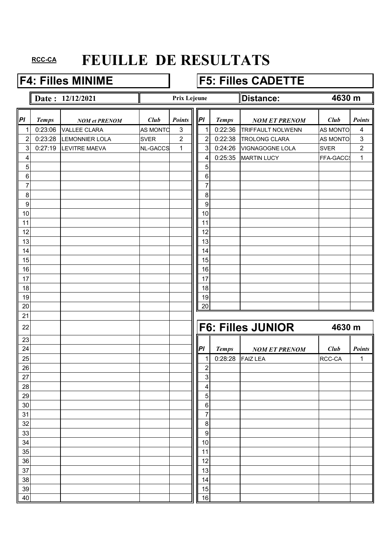## **F4: Filles MINIME F5: Filles CADETTE**

**Date : 12/12/2021 Distance: Distance:** 

### **Prix Lejeune**

### **4630 m**

| P              | <b>Temps</b> | <b>NOM et PRENOM</b>  | Club            | <b>Points</b>             | P                | <b>Temps</b> | <b>NOM ET PRENOM</b>     | Club            | Points         |
|----------------|--------------|-----------------------|-----------------|---------------------------|------------------|--------------|--------------------------|-----------------|----------------|
| $\mathbf{1}$   | 0:23:06      | <b>VALLEE CLARA</b>   | <b>AS MONTO</b> | $\ensuremath{\mathsf{3}}$ | 1                | 0:22:36      | <b>TRIFFAULT NOLWENN</b> | <b>AS MONTO</b> | 4              |
| $\overline{c}$ | 0:23:28      | <b>LEMONNIER LOLA</b> | <b>SVER</b>     | $\sqrt{2}$                | $\overline{c}$   | 0:22:38      | <b>TROLONG CLARA</b>     | AS MONTO        | $\mathfrak{S}$ |
| 3 <sup>1</sup> | 0:27:19      | <b>LEVITRE MAEVA</b>  | <b>NL-GACCS</b> | $\mathbf{1}$              | $\mathbf{3}$     | 0:24:26      | <b>VIGNAGOGNE LOLA</b>   | <b>SVER</b>     | $\overline{2}$ |
| 4              |              |                       |                 |                           | 4                | 0:25:35      | <b>MARTIN LUCY</b>       | FFA-GACCS       | 1              |
| 5              |              |                       |                 |                           | 5                |              |                          |                 |                |
| $\,6\,$        |              |                       |                 |                           | $\,6\,$          |              |                          |                 |                |
| 7              |              |                       |                 |                           | 7                |              |                          |                 |                |
| $\bf 8$        |              |                       |                 |                           | $\, 8$           |              |                          |                 |                |
| $\overline{9}$ |              |                       |                 |                           | $\boldsymbol{9}$ |              |                          |                 |                |
| 10             |              |                       |                 |                           | 10               |              |                          |                 |                |
| 11             |              |                       |                 |                           | 11               |              |                          |                 |                |
| 12             |              |                       |                 |                           | 12               |              |                          |                 |                |
| 13             |              |                       |                 |                           | 13               |              |                          |                 |                |
| 14             |              |                       |                 |                           | 14               |              |                          |                 |                |
| 15             |              |                       |                 |                           | 15               |              |                          |                 |                |
| 16             |              |                       |                 |                           | 16               |              |                          |                 |                |
| 17             |              |                       |                 |                           | 17               |              |                          |                 |                |
| 18             |              |                       |                 |                           | 18               |              |                          |                 |                |
| 19             |              |                       |                 |                           | 19               |              |                          |                 |                |
| 20             |              |                       |                 |                           | 20               |              |                          |                 |                |
| 21             |              |                       |                 |                           |                  |              |                          |                 |                |
| 22             |              |                       |                 |                           |                  |              | <b>F6: Filles JUNIOR</b> | 4630 m          |                |
| 23             |              |                       |                 |                           |                  |              |                          |                 |                |
| 24             |              |                       |                 |                           | PI               | <b>Temps</b> | <b>NOM ET PRENOM</b>     | Club            | <b>Points</b>  |
| 25             |              |                       |                 |                           | 1                | 0:28:28      | <b>FAIZ LEA</b>          | RCC-CA          | 1              |
| 26             |              |                       |                 |                           | $\overline{2}$   |              |                          |                 |                |
| 27             |              |                       |                 |                           | 3                |              |                          |                 |                |
| 28             |              |                       |                 |                           | 4                |              |                          |                 |                |
| 29             |              |                       |                 |                           | 5                |              |                          |                 |                |
| 30             |              |                       |                 |                           | $\,6\,$          |              |                          |                 |                |
| 31             |              |                       |                 |                           | 7                |              |                          |                 |                |
| 32             |              |                       |                 |                           | $\, 8$           |              |                          |                 |                |
| 33             |              |                       |                 |                           | $\boldsymbol{9}$ |              |                          |                 |                |
| 34             |              |                       |                 |                           | 10               |              |                          |                 |                |
| 35             |              |                       |                 |                           | 11               |              |                          |                 |                |
| 36             |              |                       |                 |                           | 12               |              |                          |                 |                |
| 37             |              |                       |                 |                           | 13               |              |                          |                 |                |
| 38             |              |                       |                 |                           | 14               |              |                          |                 |                |
| 39             |              |                       |                 |                           | 15               |              |                          |                 |                |
| 40             |              |                       |                 |                           | 16               |              |                          |                 |                |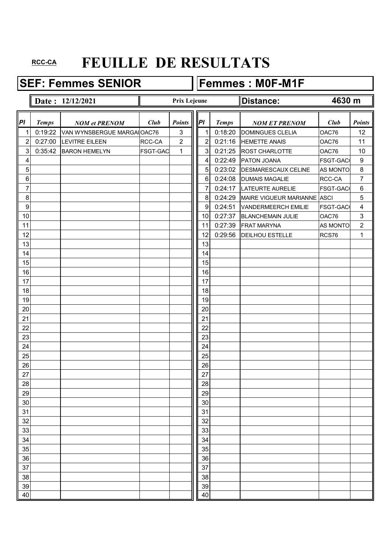SEF: Femmes SENIOR Femmes : M0F-M1F

### **Date : 12/12/2021 Distance: 4630 m**

ו

|                         |              | Date: 12/12/2021           |                 | <b>Prix Lejeune</b> |                |              | Distance:                   | 4630 m          |                         |
|-------------------------|--------------|----------------------------|-----------------|---------------------|----------------|--------------|-----------------------------|-----------------|-------------------------|
| P                       | <b>Temps</b> | <b>NOM et PRENOM</b>       | Club            | <b>Points</b>       | P              | <b>Temps</b> | <b>NOM ET PRENOM</b>        | Club            | <b>Points</b>           |
| 1                       | 0:19:22      | VAN WYNSBERGUE MARGAIOAC76 |                 | 3                   | 1              | 0:18:20      | <b>DOMINGUES CLELIA</b>     | OAC76           | 12                      |
| $\overline{\mathbf{c}}$ | 0:27:00      | <b>LEVITRE EILEEN</b>      | RCC-CA          | 2                   | $\overline{2}$ | 0:21:16      | <b>HEMETTE ANAIS</b>        | OAC76           | 11                      |
| 3                       | 0:35:42      | <b>BARON HEMELYN</b>       | <b>FSGT-GAC</b> | $\mathbf{1}$        | 3              | 0:21:25      | ROST CHARLOTTE              | OAC76           | 10                      |
| 4                       |              |                            |                 |                     | 4              | 0:22:49      | PATON JOANA                 | FSGT-GAC        | $\boldsymbol{9}$        |
| $\overline{5}$          |              |                            |                 |                     | 5              | 0:23:02      | <b>DESMARESCAUX CELINE</b>  | AS MONTO        | $\,8\,$                 |
| 6                       |              |                            |                 |                     | 6              | 0:24:08      | <b>DUMAIS MAGALIE</b>       | RCC-CA          | $\overline{7}$          |
| 7                       |              |                            |                 |                     | 7              | 0:24:17      | <b>LATEURTE AURELIE</b>     | <b>FSGT-GAC</b> | $\,6\,$                 |
| $\,8\,$                 |              |                            |                 |                     | 8              | 0:24:29      | MAIRE VIGUEUR MARIANNE ASCI |                 | 5                       |
| 9                       |              |                            |                 |                     | 9              | 0:24:51      | <b>VANDERMEERCH EMILIE</b>  | <b>FSGT-GAC</b> | $\overline{\mathbf{4}}$ |
| 10                      |              |                            |                 |                     | 10             | 0:27:37      | <b>BLANCHEMAIN JULIE</b>    | OAC76           | $\mathbf{3}$            |
| 11                      |              |                            |                 |                     | 11             | 0:27:39      | <b>FRAT MARYNA</b>          | AS MONTO        | $\boldsymbol{2}$        |
| 12                      |              |                            |                 |                     | 12             | 0:29:56      | <b>DEILHOU ESTELLE</b>      | RCS76           | $\mathbf{1}$            |
| 13                      |              |                            |                 |                     | 13             |              |                             |                 |                         |
| 14                      |              |                            |                 |                     | 14             |              |                             |                 |                         |
| 15                      |              |                            |                 |                     | 15             |              |                             |                 |                         |
| 16                      |              |                            |                 |                     | 16             |              |                             |                 |                         |
| 17                      |              |                            |                 |                     | 17             |              |                             |                 |                         |
| 18                      |              |                            |                 |                     | 18             |              |                             |                 |                         |
| 19                      |              |                            |                 |                     | 19             |              |                             |                 |                         |
| 20                      |              |                            |                 |                     | 20             |              |                             |                 |                         |
| 21                      |              |                            |                 |                     | 21             |              |                             |                 |                         |
| 22                      |              |                            |                 |                     | 22             |              |                             |                 |                         |
| 23                      |              |                            |                 |                     | 23             |              |                             |                 |                         |
| 24                      |              |                            |                 |                     | 24             |              |                             |                 |                         |
| 25                      |              |                            |                 |                     | 25             |              |                             |                 |                         |
| 26                      |              |                            |                 |                     | 26             |              |                             |                 |                         |
| 27                      |              |                            |                 |                     | 27             |              |                             |                 |                         |
| 28                      |              |                            |                 |                     | 28             |              |                             |                 |                         |
| 29                      |              |                            |                 |                     | 29             |              |                             |                 |                         |
| 30                      |              |                            |                 |                     | 30             |              |                             |                 |                         |
| 31                      |              |                            |                 |                     | 31             |              |                             |                 |                         |
| 32                      |              |                            |                 |                     | 32             |              |                             |                 |                         |
| 33                      |              |                            |                 |                     | 33             |              |                             |                 |                         |
| 34                      |              |                            |                 |                     | 34             |              |                             |                 |                         |
| 35                      |              |                            |                 |                     | 35             |              |                             |                 |                         |
| 36                      |              |                            |                 |                     | 36             |              |                             |                 |                         |
| 37                      |              |                            |                 |                     | 37             |              |                             |                 |                         |
| 38                      |              |                            |                 |                     | 38             |              |                             |                 |                         |
| 39                      |              |                            |                 |                     | 39             |              |                             |                 |                         |
| 40                      |              |                            |                 |                     | 40             |              |                             |                 |                         |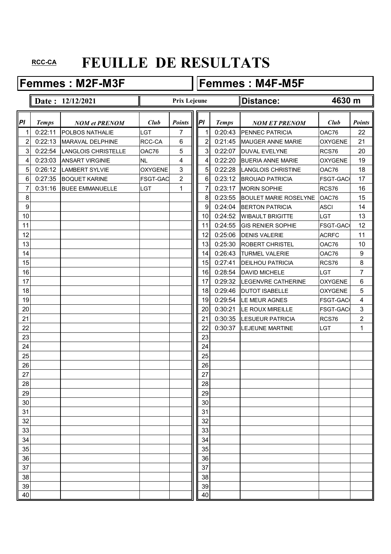Femmes : M2F-M3F **Femmes : M4F-M5F** 

### **Date :** 12/12/2021 **Distance: Distance:** *Pl Temps NOM et PRENOM Club Points*  $\|\|P\|$  *Temps NOM ET PRENOM Club Points* 1 0:22:11 POLBOS NATHALIE  $||$  LGT  $||$  7  $||$  1 0:20:43 PENNEC PATRICIA  $|$  OAC76  $|$  22 2 0:22:13 MARAVAL DELPHINE RCC-CA 6 || 2 0:21:45 MAUGER ANNE MARIE OXYGENE 21 3 0:22:54 LANGLOIS CHRISTELLE  $\|$  OAC76  $\|$  5  $\|$  3 0:22:07 DUVAL EVELYNE RCS76 20 4 0:23:03 ANSART VIRGINIE NL 4 || 4 0:22:20 BUERIA ANNE MARIE OXYGENE | 19 5 0:26:12 LAMBERT SYLVIE  $\vert$  OXYGENE 3 || 5 0:22:28 LANGLOIS CHRISTINE  $\vert$  OAC76 18 6 0:27:35 BOQUET KARINE FSGT-GACC 2 H 6 0:23:12 BROUAD PATRICIA FSGT-GACC 17 7 0:31:16 BUEE EMMANUELLE LGT 1 1 1 7 0:23:17 MORIN SOPHIE RCS76 16 8 8 23:55 BOULET MARIE ROSELYNE OAC76 15 9 9 9 9 0:24:04 BERTON PATRICIA ASCI 14 10 10 10 10:24:52 WIBAULT BRIGITTE LGT 13 11 11 11 0:24:55 GIS RENIER SOPHIE FSGT-GACC 12 12 12 0:25:06 DENIS VALERIE ACRFC 11 13 | | | | | | | | | | | | 13 | 0:25:30 |ROBERT CHRISTEL | OAC76 | 10 14 | | | | | | | | | | | | | | | 14 | 0:26:43 | TURMEL VALERIE | OAC76 | 9 15 15 0:27:41 DEILHOU PATRICIA RCS76 8 16 16 0:28:54 DAVID MICHELE LGT 7 17 17 0:29:32 LEGENVRE CATHERINE OXYGENE 6 18 | | | | | | | | | | | | | | | 18 0:29:46 | DUTOT ISABELLE | OXYGENE | 5 19 19 19 0:29:54 LE MEUR AGNES FSGT-GACC 4 20 20 0:30:21 LE ROUX MIREILLE FSGT-GACCSR3 21 21 0:30:35 LESUEUR PATRICIA RCS76 2 22 22 0:30:37 LEJEUNE MARTINE LGT 1 23 | | | | | | | | | | | | 23 24 124 25 | | | | | | | | | | | | | | 25 26 26 27 | | | | | | | | | | | 27 28 28 29 29 30 30 31 31 32 32 33 | | | | | | | | | | | | 33 34 34 35 35 36 36 37 37 37 37 38 38 38 39 39 30 31 32 33 34 35 36 37 38 39 30 31 32 33 34 35 35 35 35 35 35 35 35 35 35 35 35 35 38 38 39 39 40 | 100 | 100 | 100 | 100 | 100 | 100 | 100 | 100 | 100 | 100 | 100 | 100 | 100 | 100 | 100 | 100 | 100 | 10 **4630 m Prix Lejeune**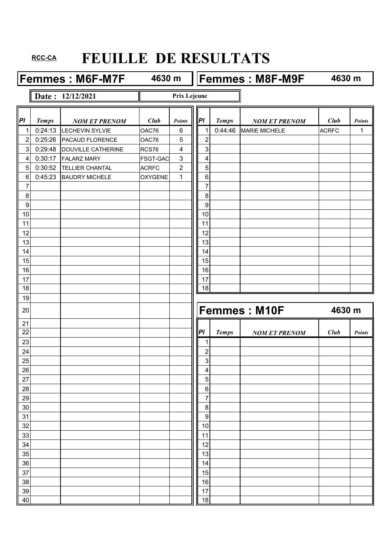Femmes : M6F-M7F 4630 m Femmes : M8F-M9F

**4630 m**

**4630 m**

**Date : 12/12/2021**

**Prix Lejeune**

| P              | <b>Temps</b> | <b>NOM ET PRENOM</b>      | Club            | <b>Points</b>  | PI               | <b>Temps</b> | <b>NOM ET PRENOM</b> | <b>Club</b>  | <b>Points</b> |
|----------------|--------------|---------------------------|-----------------|----------------|------------------|--------------|----------------------|--------------|---------------|
| $\mathbf{1}$   | 0:24:13      | <b>LECHEVIN SYLVIE</b>    | OAC76           | 6              | 1                | 0:44:46      | <b>MARIE MICHELE</b> | <b>ACRFC</b> | 1             |
| $\overline{2}$ | 0:25:26      | PACAUD FLORENCE           | OAC76           | 5              | $\overline{2}$   |              |                      |              |               |
| 3 <sup>1</sup> | 0:29:48      | <b>DOUVILLE CATHERINE</b> | RCS76           | 4              | $\mathbf{3}$     |              |                      |              |               |
| $\vert$        | 0:30:17      | <b>FALARZ MARY</b>        | <b>FSGT-GAC</b> | $\mathfrak{S}$ | 4                |              |                      |              |               |
| 5 <sup>1</sup> | 0:30:52      | <b>TELLIER CHANTAL</b>    | <b>ACRFC</b>    | $\overline{c}$ | 5                |              |                      |              |               |
| 6              | 0:45:23      | <b>BAUDRY MICHELE</b>     | <b>OXYGENE</b>  | $\mathbf{1}$   | 6                |              |                      |              |               |
| $\overline{7}$ |              |                           |                 |                | 7                |              |                      |              |               |
| $\bf 8$        |              |                           |                 |                | $\bf 8$          |              |                      |              |               |
| 9              |              |                           |                 |                | 9                |              |                      |              |               |
| 10             |              |                           |                 |                | 10               |              |                      |              |               |
| 11             |              |                           |                 |                | 11               |              |                      |              |               |
| 12             |              |                           |                 |                | 12               |              |                      |              |               |
| 13             |              |                           |                 |                | 13               |              |                      |              |               |
| 14             |              |                           |                 |                | 14               |              |                      |              |               |
| 15             |              |                           |                 |                | 15               |              |                      |              |               |
| 16             |              |                           |                 |                | 16               |              |                      |              |               |
| 17             |              |                           |                 |                | 17               |              |                      |              |               |
| 18             |              |                           |                 |                | 18               |              |                      |              |               |
| 19             |              |                           |                 |                |                  |              |                      |              |               |
| 20             |              |                           |                 |                |                  |              | <b>Femmes: M10F</b>  | 4630 m       |               |
| 21             |              |                           |                 |                |                  |              |                      |              |               |
| 22             |              |                           |                 |                | PI               | <b>Temps</b> | <b>NOM ET PRENOM</b> | <b>Club</b>  | <b>Points</b> |
| 23             |              |                           |                 |                | 1                |              |                      |              |               |
| 24             |              |                           |                 |                | $\overline{2}$   |              |                      |              |               |
| 25             |              |                           |                 |                | 3                |              |                      |              |               |
| 26             |              |                           |                 |                | 4                |              |                      |              |               |
| 27             |              |                           |                 |                | 5                |              |                      |              |               |
| 28             |              |                           |                 |                | $\,6\,$          |              |                      |              |               |
| 29             |              |                           |                 |                | $\overline{7}$   |              |                      |              |               |
| 30             |              |                           |                 |                | $\,8\,$          |              |                      |              |               |
| 31             |              |                           |                 |                | $\boldsymbol{9}$ |              |                      |              |               |
| 32             |              |                           |                 |                | 10               |              |                      |              |               |
| 33             |              |                           |                 |                | 11               |              |                      |              |               |
| 34<br>35       |              |                           |                 |                | 12<br>13         |              |                      |              |               |
| 36             |              |                           |                 |                | 14               |              |                      |              |               |
| 37             |              |                           |                 |                | 15               |              |                      |              |               |
| 38             |              |                           |                 |                | 16               |              |                      |              |               |
| 39             |              |                           |                 |                | 17               |              |                      |              |               |
| 40             |              |                           |                 |                | 18               |              |                      |              |               |
|                |              |                           |                 |                |                  |              |                      |              |               |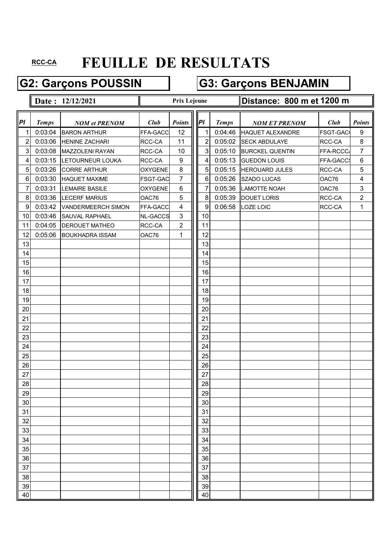### G2: Garçons POUSSIN **G3: Garçons BENJAMIN**

|                         |              | Date: 12/12/2021       |                 | Prix Lejeune     |                |              | Distance: 800 m et 1200 m |           |                         |  |  |
|-------------------------|--------------|------------------------|-----------------|------------------|----------------|--------------|---------------------------|-----------|-------------------------|--|--|
| Pl                      | <b>Temps</b> | <b>NOM et PRENOM</b>   | Club            | <b>Points</b>    | PI             | <b>Temps</b> | <b>NOM ET PRENOM</b>      | Club      | <b>Points</b>           |  |  |
| 1                       | 0:03:04      | <b>BARON ARTHUR</b>    | FFA-GACC        | 12               | 1              | 0:04:46      | <b>HAQUET ALEXANDRE</b>   | FSGT-GAC  | 9                       |  |  |
| $\overline{\mathbf{c}}$ | 0:03:06      | <b>HENINE ZACHARI</b>  | RCC-CA          | 11               | 2              | 0:05:02      | <b>SECK ABDULAYE</b>      | RCC-CA    | 8                       |  |  |
| 3                       | 0:03:08      | MAZZOLENI RAYAN        | RCC-CA          | 10               | 3              | 0:05:10      | <b>BURCKEL QUENTIN</b>    | FFA-RCCC/ | $\overline{7}$          |  |  |
| $\overline{\mathbf{4}}$ | 0:03:15      | LETOURNEUR LOUKA       | RCC-CA          | $\boldsymbol{9}$ | 4              | 0:05:13      | <b>GUEDON LOUIS</b>       | FFA-GACCS | $\,6\,$                 |  |  |
| 5                       | 0:03:26      | <b>CORRE ARTHUR</b>    | <b>OXYGENE</b>  | 8                | 5              | 0:05:15      | <b>HEROUARD JULES</b>     | RCC-CA    | $\overline{5}$          |  |  |
| $\,6$                   | 0:03:30      | <b>HAQUET MAXIME</b>   | <b>FSGT-GAC</b> | 7                | $6\phantom{1}$ | 0:05:26      | SZADO LUCAS               | OAC76     | $\overline{\mathbf{4}}$ |  |  |
| 7                       | 0:03:31      | <b>LEMAIRE BASILE</b>  | <b>OXYGENE</b>  | $\,6$            | 7              | 0:05:36      | LAMOTTE NOAH              | OAC76     | $\mathbf{3}$            |  |  |
| $\,8\,$                 | 0:03:36      | <b>LECERF MARIUS</b>   | OAC76           | 5                | 8              | 0:05:39      | <b>DOUET LORIS</b>        | RCC-CA    | $\overline{2}$          |  |  |
| $\boldsymbol{9}$        | 0:03:42      | VANDERMEERCH SIMON     | FFA-GACC        | 4                | 9              | 0:06:58      | LOZE LOIC                 | RCC-CA    | $\mathbf{1}$            |  |  |
| 10                      | 0:03:46      | <b>SAUVAL RAPHAEL</b>  | <b>NL-GACCS</b> | 3                | 10             |              |                           |           |                         |  |  |
| 11                      | 0:04:05      | <b>DEROUET MATHEO</b>  | RCC-CA          | $\overline{2}$   | 11             |              |                           |           |                         |  |  |
| 12                      | 0:05:06      | <b>BOUKHADRA ISSAM</b> | OAC76           | 1                | 12             |              |                           |           |                         |  |  |
| 13                      |              |                        |                 |                  | 13             |              |                           |           |                         |  |  |
| 14                      |              |                        |                 |                  | 14             |              |                           |           |                         |  |  |
| 15                      |              |                        |                 |                  | 15             |              |                           |           |                         |  |  |
| 16                      |              |                        |                 |                  | 16             |              |                           |           |                         |  |  |
| 17                      |              |                        |                 |                  | 17             |              |                           |           |                         |  |  |
| 18                      |              |                        |                 |                  | 18             |              |                           |           |                         |  |  |
| 19                      |              |                        |                 |                  | 19             |              |                           |           |                         |  |  |
| 20                      |              |                        |                 |                  | 20             |              |                           |           |                         |  |  |
| 21                      |              |                        |                 |                  | 21             |              |                           |           |                         |  |  |
| 22                      |              |                        |                 |                  | 22             |              |                           |           |                         |  |  |
| 23                      |              |                        |                 |                  | 23             |              |                           |           |                         |  |  |
| 24                      |              |                        |                 |                  | 24             |              |                           |           |                         |  |  |
| 25                      |              |                        |                 |                  | 25             |              |                           |           |                         |  |  |
| 26                      |              |                        |                 |                  | 26             |              |                           |           |                         |  |  |
| 27                      |              |                        |                 |                  | 27             |              |                           |           |                         |  |  |
| 28                      |              |                        |                 |                  | 28             |              |                           |           |                         |  |  |
| 29                      |              |                        |                 |                  | 29             |              |                           |           |                         |  |  |
| 30                      |              |                        |                 |                  | 30             |              |                           |           |                         |  |  |
| 31                      |              |                        |                 |                  | 31             |              |                           |           |                         |  |  |
| 32                      |              |                        |                 |                  | 32             |              |                           |           |                         |  |  |
| 33                      |              |                        |                 |                  | 33             |              |                           |           |                         |  |  |
| 34                      |              |                        |                 |                  | 34             |              |                           |           |                         |  |  |
| 35                      |              |                        |                 |                  | 35             |              |                           |           |                         |  |  |
| 36                      |              |                        |                 |                  | 36             |              |                           |           |                         |  |  |
| 37                      |              |                        |                 |                  | 37             |              |                           |           |                         |  |  |
| 38                      |              |                        |                 |                  | 38             |              |                           |           |                         |  |  |
| 39                      |              |                        |                 |                  | 39             |              |                           |           |                         |  |  |
| 40                      |              |                        |                 |                  | 40             |              |                           |           |                         |  |  |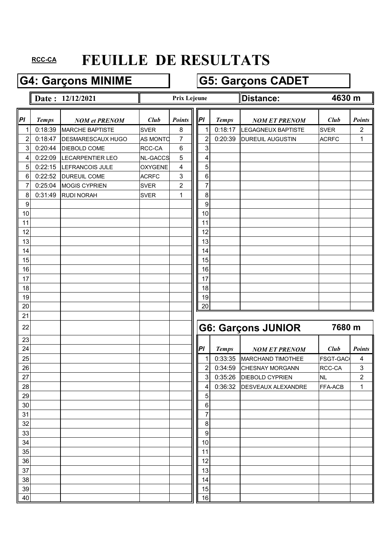## G4: Garçons MINIME **G5: Garçons CADET**

### **Date : 12/12/2021 Distance: Distance:**

### **Prix Lejeune**

### **4630 m**

| PI             | <b>Temps</b> | <b>NOM et PRENOM</b>     | Club            | <b>Points</b>  | P                | <b>Temps</b> | <b>NOM ET PRENOM</b>      | Club            | <b>Points</b> |
|----------------|--------------|--------------------------|-----------------|----------------|------------------|--------------|---------------------------|-----------------|---------------|
| $\mathbf{1}$   | 0:18:39      | <b>MARCHE BAPTISTE</b>   | <b>SVER</b>     | 8              | 1                | 0:18:17      | <b>LEGAGNEUX BAPTISTE</b> | <b>SVER</b>     | 2             |
| $\overline{2}$ | 0:18:47      | <b>DESMARESCAUX HUGO</b> | <b>AS MONTO</b> | $\overline{7}$ | $\overline{2}$   | 0:20:39      | <b>DUREUIL AUGUSTIN</b>   | <b>ACRFC</b>    | 1             |
| 3              | 0:20:44      | DIEBOLD COME             | RCC-CA          | 6              | 3                |              |                           |                 |               |
| 4              | 0:22:09      | <b>LECARPENTIER LEO</b>  | <b>NL-GACCS</b> | 5              | 4                |              |                           |                 |               |
| 5              | 0:22:15      | LEFRANCOIS JULE          | <b>OXYGENE</b>  | 4              | 5                |              |                           |                 |               |
| 6              | 0:22:52      | <b>DUREUIL COME</b>      | <b>ACRFC</b>    | 3              | 6                |              |                           |                 |               |
| 7              | 0:25:04      | <b>MOGIS CYPRIEN</b>     | <b>SVER</b>     | $\mathbf{2}$   | $\overline{7}$   |              |                           |                 |               |
| 8              | 0:31:49      | <b>RUDI NORAH</b>        | <b>SVER</b>     | 1              | 8                |              |                           |                 |               |
| 9              |              |                          |                 |                | $\boldsymbol{9}$ |              |                           |                 |               |
| 10             |              |                          |                 |                | 10               |              |                           |                 |               |
| 11             |              |                          |                 |                | 11               |              |                           |                 |               |
| 12             |              |                          |                 |                | 12               |              |                           |                 |               |
| 13             |              |                          |                 |                | 13               |              |                           |                 |               |
| 14             |              |                          |                 |                | 14               |              |                           |                 |               |
| 15             |              |                          |                 |                | 15               |              |                           |                 |               |
| 16             |              |                          |                 |                | 16               |              |                           |                 |               |
| 17             |              |                          |                 |                | 17               |              |                           |                 |               |
| 18             |              |                          |                 |                | 18               |              |                           |                 |               |
| 19             |              |                          |                 |                | 19               |              |                           |                 |               |
| 20             |              |                          |                 |                | 20               |              |                           |                 |               |
| 21             |              |                          |                 |                |                  |              |                           |                 |               |
| 22             |              |                          |                 |                |                  |              | <b>G6: Garçons JUNIOR</b> | 7680 m          |               |
| 23             |              |                          |                 |                |                  |              |                           |                 |               |
| 24             |              |                          |                 |                | PI               | <b>Temps</b> | <b>NOM ET PRENOM</b>      | Club            | <b>Points</b> |
| 25             |              |                          |                 |                | 1                | 0:33:35      | <b>MARCHAND TIMOTHEE</b>  | <b>FSGT-GAC</b> | 4             |
| 26             |              |                          |                 |                | $\overline{2}$   | 0:34:59      | <b>CHESNAY MORGANN</b>    | RCC-CA          | $\sqrt{3}$    |
| 27             |              |                          |                 |                | 3                | 0:35:26      | <b>DIEBOLD CYPRIEN</b>    | <b>NL</b>       | $\sqrt{2}$    |
| 28             |              |                          |                 |                | 4                | 0:36:32      | <b>DESVEAUX ALEXANDRE</b> | FFA-ACB         | $\mathbf{1}$  |
| 29             |              |                          |                 |                | 5                |              |                           |                 |               |
| 30             |              |                          |                 |                | $\,6$            |              |                           |                 |               |
| 31             |              |                          |                 |                | 7                |              |                           |                 |               |
| 32             |              |                          |                 |                | 8                |              |                           |                 |               |
| 33             |              |                          |                 |                | $\boldsymbol{9}$ |              |                           |                 |               |
| 34             |              |                          |                 |                | 10               |              |                           |                 |               |
| 35             |              |                          |                 |                | 11               |              |                           |                 |               |
| 36             |              |                          |                 |                | 12               |              |                           |                 |               |
| 37             |              |                          |                 |                | 13               |              |                           |                 |               |
| 38             |              |                          |                 |                | 14               |              |                           |                 |               |
| 39             |              |                          |                 |                | 15               |              |                           |                 |               |
| 40             |              |                          |                 |                | 16               |              |                           |                 |               |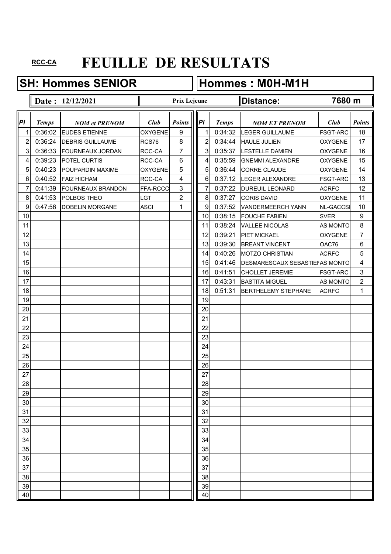## **SH: Hommes SENIOR Hommes : M0H-M1H**

|    |              | Date: 12/12/2021        |                | <b>Prix Lejeune</b> |    |                |              | ∥Distance:                      | 7680 m          |                         |
|----|--------------|-------------------------|----------------|---------------------|----|----------------|--------------|---------------------------------|-----------------|-------------------------|
| PI | <b>Temps</b> | <b>NOM et PRENOM</b>    | Club           | <b>Points</b>       | PI |                | <b>Temps</b> | <b>NOM ET PRENOM</b>            | Club            | <b>Points</b>           |
| 1  | 0:36:02      | <b>EUDES ETIENNE</b>    | <b>OXYGENE</b> | 9                   |    | 1              | 0:34:32      | <b>LEGER GUILLAUME</b>          | <b>FSGT-ARC</b> | 18                      |
| 2  | 0:36:24      | <b>DEBRIS GUILLAUME</b> | RCS76          | 8                   |    | 2              | 0:34:44      | <b>HAULE JULIEN</b>             | <b>OXYGENE</b>  | 17                      |
| 3  | 0:36:33      | FOURNEAUX JORDAN        | RCC-CA         | $\overline{7}$      |    | 3              | 0:35:37      | <b>LESTELLE DAMIEN</b>          | <b>OXYGENE</b>  | 16                      |
| 4  | 0:39:23      | POTEL CURTIS            | RCC-CA         | 6                   |    | 4              | 0:35:59      | <b>GNEMMI ALEXANDRE</b>         | <b>OXYGENE</b>  | 15                      |
| 5  | 0:40:23      | POUPARDIN MAXIME        | <b>OXYGENE</b> | $\overline{5}$      |    | 5              | 0:36:44      | <b>CORRE CLAUDE</b>             | <b>OXYGENE</b>  | 14                      |
| 6  | 0:40:52      | <b>FAIZ HICHAM</b>      | RCC-CA         | 4                   |    | 6              | 0:37:12      | <b>LEGER ALEXANDRE</b>          | <b>FSGT-ARC</b> | 13                      |
| 7  | 0:41:39      | FOURNEAUX BRANDON       | FFA-RCCC       | $\mathfrak{S}$      |    | $\overline{7}$ | 0:37:22      | <b>DUREUIL LEONARD</b>          | <b>ACRFC</b>    | 12                      |
| 8  | 0:41:53      | POLBOS THEO             | LGT            | $\overline{c}$      |    | 8              | 0:37:27      | <b>CORIS DAVID</b>              | <b>OXYGENE</b>  | 11                      |
| 9  | 0:47:56      | <b>DOBELIN MORGANE</b>  | <b>ASCI</b>    | 1                   |    | 9              | 0:37:52      | VANDERMEERCH YANN               | <b>NL-GACCS</b> | 10                      |
| 10 |              |                         |                |                     |    | 10             | 0:38:15      | <b>FOUCHE FABIEN</b>            | <b>SVER</b>     | $\boldsymbol{9}$        |
| 11 |              |                         |                |                     |    | 11             | 0:38:24      | <b>VALLEE NICOLAS</b>           | AS MONTO        | 8                       |
| 12 |              |                         |                |                     |    | 12             | 0:39:21      | PIET MICKAEL                    | <b>OXYGENE</b>  | 7                       |
| 13 |              |                         |                |                     |    | 13             | 0:39:30      | <b>BREANT VINCENT</b>           | OAC76           | $\,6$                   |
| 14 |              |                         |                |                     |    | 14             | 0:40:26      | <b>MOTZO CHRISTIAN</b>          | <b>ACRFC</b>    | 5                       |
| 15 |              |                         |                |                     |    | 15             | 0:41:46      | DESMARESCAUX SEBASTIEI AS MONTO |                 | $\overline{\mathbf{4}}$ |
| 16 |              |                         |                |                     |    | 16             | 0:41:51      | <b>CHOLLET JEREMIE</b>          | <b>FSGT-ARC</b> | $\mathbf{3}$            |
| 17 |              |                         |                |                     |    | 17             | 0:43:31      | <b>BASTITA MIGUEL</b>           | <b>AS MONTO</b> | $\overline{2}$          |
| 18 |              |                         |                |                     |    | 18             | 0:51:31      | <b>BERTHELEMY STEPHANE</b>      | <b>ACRFC</b>    | 1                       |
| 19 |              |                         |                |                     |    | 19             |              |                                 |                 |                         |
| 20 |              |                         |                |                     |    | 20             |              |                                 |                 |                         |
| 21 |              |                         |                |                     |    | 21             |              |                                 |                 |                         |
| 22 |              |                         |                |                     |    | 22             |              |                                 |                 |                         |
| 23 |              |                         |                |                     |    | 23             |              |                                 |                 |                         |
| 24 |              |                         |                |                     |    | 24             |              |                                 |                 |                         |
| 25 |              |                         |                |                     |    | 25             |              |                                 |                 |                         |
| 26 |              |                         |                |                     |    | 26             |              |                                 |                 |                         |
| 27 |              |                         |                |                     |    | 27             |              |                                 |                 |                         |
| 28 |              |                         |                |                     |    | 28             |              |                                 |                 |                         |
| 29 |              |                         |                |                     |    | 29             |              |                                 |                 |                         |
| 30 |              |                         |                |                     |    | 30             |              |                                 |                 |                         |
| 31 |              |                         |                |                     |    | 31             |              |                                 |                 |                         |
| 32 |              |                         |                |                     |    | 32             |              |                                 |                 |                         |
| 33 |              |                         |                |                     |    | 33             |              |                                 |                 |                         |
| 34 |              |                         |                |                     |    | 34             |              |                                 |                 |                         |
| 35 |              |                         |                |                     |    | 35             |              |                                 |                 |                         |
| 36 |              |                         |                |                     |    | 36             |              |                                 |                 |                         |
| 37 |              |                         |                |                     |    | 37             |              |                                 |                 |                         |
| 38 |              |                         |                |                     |    | 38             |              |                                 |                 |                         |
| 39 |              |                         |                |                     |    | 39             |              |                                 |                 |                         |
| 40 |              |                         |                |                     |    | 40             |              |                                 |                 |                         |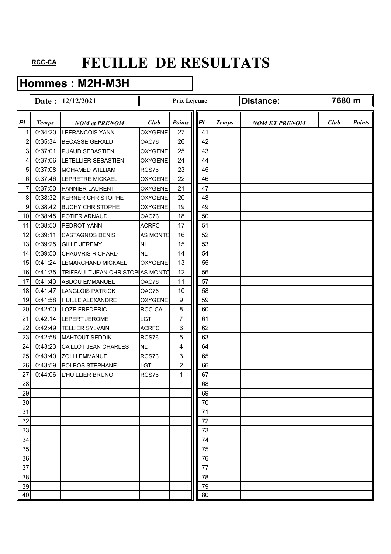## **Hommes : M2H-M3H**

|                         |              | Date: 12/12/2021                 |                 | <b>Prix Lejeune</b> |  |    |              | <b>Distance:</b>     | 7680 m |               |
|-------------------------|--------------|----------------------------------|-----------------|---------------------|--|----|--------------|----------------------|--------|---------------|
| Pl                      | <b>Temps</b> | <b>NOM et PRENOM</b>             | Club            | <b>Points</b>       |  | P  | <b>Temps</b> | <b>NOM ET PRENOM</b> | Club   | <b>Points</b> |
| 1                       | 0:34:20      | <b>LEFRANCOIS YANN</b>           | <b>OXYGENE</b>  | 27                  |  | 41 |              |                      |        |               |
| $\overline{\mathbf{c}}$ | 0:35:34      | <b>BECASSE GERALD</b>            | OAC76           | 26                  |  | 42 |              |                      |        |               |
| 3                       | 0:37:01      | PUAUD SEBASTIEN                  | <b>OXYGENE</b>  | 25                  |  | 43 |              |                      |        |               |
| 4                       | 0:37:06      | <b>ILETELLIER SEBASTIEN</b>      | <b>OXYGENE</b>  | 24                  |  | 44 |              |                      |        |               |
| 5                       | 0:37:08      | <b>MOHAMED WILLIAM</b>           | RCS76           | 23                  |  | 45 |              |                      |        |               |
| 6                       | 0:37:46      | <b>LEPRETRE MICKAEL</b>          | <b>OXYGENE</b>  | 22                  |  | 46 |              |                      |        |               |
| 7                       | 0:37:50      | <b>PANNIER LAURENT</b>           | <b>OXYGENE</b>  | 21                  |  | 47 |              |                      |        |               |
| 8                       | 0:38:32      | <b>KERNER CHRISTOPHE</b>         | <b>OXYGENE</b>  | 20                  |  | 48 |              |                      |        |               |
| 9                       | 0:38:42      | <b>BUCHY CHRISTOPHE</b>          | <b>OXYGENE</b>  | 19                  |  | 49 |              |                      |        |               |
| 10                      | 0:38:45      | POTIER ARNAUD                    | OAC76           | 18                  |  | 50 |              |                      |        |               |
| 11                      | 0:38:50      | PEDROT YANN                      | <b>ACRFC</b>    | 17                  |  | 51 |              |                      |        |               |
| 12                      | 0:39:11      | <b>CASTAGNOS DENIS</b>           | <b>AS MONTO</b> | 16                  |  | 52 |              |                      |        |               |
| 13                      | 0:39:25      | <b>GILLE JEREMY</b>              | <b>NL</b>       | 15                  |  | 53 |              |                      |        |               |
| 14                      | 0:39:50      | <b>CHAUVRIS RICHARD</b>          | <b>NL</b>       | 14                  |  | 54 |              |                      |        |               |
| 15                      | 0:41:24      | <b>LEMARCHAND MICKAEL</b>        | <b>OXYGENE</b>  | 13                  |  | 55 |              |                      |        |               |
| 16                      | 0:41:35      | TRIFFAULT JEAN CHRISTOPIAS MONTO |                 | 12                  |  | 56 |              |                      |        |               |
| 17                      | 0:41:43      | <b>ABDOU EMMANUEL</b>            | OAC76           | 11                  |  | 57 |              |                      |        |               |
| 18                      | 0:41:47      | <b>LANGLOIS PATRICK</b>          | OAC76           | 10                  |  | 58 |              |                      |        |               |
| 19                      | 0:41:58      | <b>HUILLE ALEXANDRE</b>          | <b>OXYGENE</b>  | 9                   |  | 59 |              |                      |        |               |
| 20                      | 0:42:00      | <b>LOZE FREDERIC</b>             | RCC-CA          | 8                   |  | 60 |              |                      |        |               |
| 21                      | 0:42:14      | LEPERT JEROME                    | LGT             | 7                   |  | 61 |              |                      |        |               |
| 22                      | 0:42:49      | <b>TELLIER SYLVAIN</b>           | <b>ACRFC</b>    | 6                   |  | 62 |              |                      |        |               |
| 23                      | 0:42:58      | <b>MAHTOUT SEDDIK</b>            | RCS76           | 5                   |  | 63 |              |                      |        |               |
| 24                      | 0:43:23      | CAILLOT JEAN CHARLES             | <b>NL</b>       | 4                   |  | 64 |              |                      |        |               |
| 25                      | 0:43:40      | <b>ZOLLI EMMANUEL</b>            | RCS76           | 3                   |  | 65 |              |                      |        |               |
| 26                      | 0:43:59      | POLBOS STEPHANE                  | LGT             | $\overline{c}$      |  | 66 |              |                      |        |               |
| 27                      | 0:44:06      | L'HUILLIER BRUNO                 | RCS76           | 1                   |  | 67 |              |                      |        |               |
| 28                      |              |                                  |                 |                     |  | 68 |              |                      |        |               |
| 29                      |              |                                  |                 |                     |  | 69 |              |                      |        |               |
| 30                      |              |                                  |                 |                     |  | 70 |              |                      |        |               |
| 31                      |              |                                  |                 |                     |  | 71 |              |                      |        |               |
| 32                      |              |                                  |                 |                     |  | 72 |              |                      |        |               |
| 33                      |              |                                  |                 |                     |  | 73 |              |                      |        |               |
| 34                      |              |                                  |                 |                     |  | 74 |              |                      |        |               |
| 35                      |              |                                  |                 |                     |  | 75 |              |                      |        |               |
| 36                      |              |                                  |                 |                     |  | 76 |              |                      |        |               |
| 37                      |              |                                  |                 |                     |  | 77 |              |                      |        |               |
| 38                      |              |                                  |                 |                     |  | 78 |              |                      |        |               |
| 39                      |              |                                  |                 |                     |  | 79 |              |                      |        |               |
| 40                      |              |                                  |                 |                     |  | 80 |              |                      |        |               |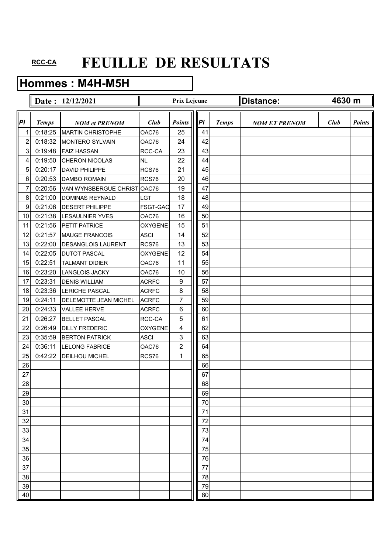## **Hommes : M4H-M5H**

|                         |              | Date: 12/12/2021            |                | <b>Prix Lejeune</b> |    |              | Distance:            | 4630 m |               |
|-------------------------|--------------|-----------------------------|----------------|---------------------|----|--------------|----------------------|--------|---------------|
| Pl                      | <b>Temps</b> | <b>NOM et PRENOM</b>        | Club           | <b>Points</b>       | PI | <b>Temps</b> | <b>NOM ET PRENOM</b> | Club   | <b>Points</b> |
| 1                       | 0:18:25      | <b>MARTIN CHRISTOPHE</b>    | OAC76          | 25                  | 41 |              |                      |        |               |
| $\overline{\mathbf{c}}$ | 0:18:32      | <b>MONTERO SYLVAIN</b>      | OAC76          | 24                  | 42 |              |                      |        |               |
| 3                       | 0:19:48      | <b>FAIZ HASSAN</b>          | RCC-CA         | 23                  | 43 |              |                      |        |               |
| 4                       | 0:19:50      | <b>CHERON NICOLAS</b>       | <b>NL</b>      | 22                  | 44 |              |                      |        |               |
| 5                       | 0:20:17      | <b>DAVID PHILIPPE</b>       | RCS76          | 21                  | 45 |              |                      |        |               |
| 6                       | 0:20:53      | <b>DAMBO ROMAIN</b>         | RCS76          | 20                  | 46 |              |                      |        |               |
| 7                       | 0:20:56      | VAN WYNSBERGUE CHRIST OAC76 |                | 19                  | 47 |              |                      |        |               |
| 8                       | 0:21:00      | <b>DOMINAS REYNALD</b>      | LGT            | 18                  | 48 |              |                      |        |               |
| 9                       | 0:21:06      | <b>DESERT PHILIPPE</b>      | FSGT-GAC       | 17                  | 49 |              |                      |        |               |
| 10                      | 0:21:38      | <b>LESAULNIER YVES</b>      | OAC76          | 16                  | 50 |              |                      |        |               |
| 11                      | 0:21:56      | PETIT PATRICE               | <b>OXYGENE</b> | 15                  | 51 |              |                      |        |               |
| 12                      | 0:21:57      | <b>MAUGE FRANCOIS</b>       | <b>ASCI</b>    | 14                  | 52 |              |                      |        |               |
| 13                      | 0:22:00      | <b>DESANGLOIS LAURENT</b>   | RCS76          | 13                  | 53 |              |                      |        |               |
| 14                      | 0:22:05      | <b>DUTOT PASCAL</b>         | <b>OXYGENE</b> | 12                  | 54 |              |                      |        |               |
| 15                      | 0:22:51      | <b>TALMANT DIDIER</b>       | OAC76          | 11                  | 55 |              |                      |        |               |
| 16                      | 0:23:20      | <b>LANGLOIS JACKY</b>       | OAC76          | 10                  | 56 |              |                      |        |               |
| 17                      | 0:23:31      | <b>DENIS WILLIAM</b>        | <b>ACRFC</b>   | 9                   | 57 |              |                      |        |               |
| 18                      | 0:23:36      | <b>LERICHE PASCAL</b>       | <b>ACRFC</b>   | 8                   | 58 |              |                      |        |               |
| 19                      | 0:24:11      | DELEMOTTE JEAN MICHEL       | <b>ACRFC</b>   | 7                   | 59 |              |                      |        |               |
| 20                      | 0:24:33      | <b>VALLEE HERVE</b>         | <b>ACRFC</b>   | 6                   | 60 |              |                      |        |               |
| 21                      | 0:26:27      | <b>BELLET PASCAL</b>        | RCC-CA         | 5                   | 61 |              |                      |        |               |
| 22                      | 0:26:49      | <b>DILLY FREDERIC</b>       | <b>OXYGENE</b> | 4                   | 62 |              |                      |        |               |
| 23                      | 0:35:59      | <b>BERTON PATRICK</b>       | <b>ASCI</b>    | 3                   | 63 |              |                      |        |               |
| 24                      | 0:36:11      | <b>LELONG FABRICE</b>       | OAC76          | $\overline{c}$      | 64 |              |                      |        |               |
| 25                      | 0:42:22      | <b>DEILHOU MICHEL</b>       | RCS76          | 1                   | 65 |              |                      |        |               |
| 26                      |              |                             |                |                     | 66 |              |                      |        |               |
| 27                      |              |                             |                |                     | 67 |              |                      |        |               |
| 28                      |              |                             |                |                     | 68 |              |                      |        |               |
| 29                      |              |                             |                |                     | 69 |              |                      |        |               |
| 30                      |              |                             |                |                     | 70 |              |                      |        |               |
| 31                      |              |                             |                |                     | 71 |              |                      |        |               |
| 32                      |              |                             |                |                     | 72 |              |                      |        |               |
| 33                      |              |                             |                |                     | 73 |              |                      |        |               |
| 34                      |              |                             |                |                     | 74 |              |                      |        |               |
| 35                      |              |                             |                |                     | 75 |              |                      |        |               |
| 36                      |              |                             |                |                     | 76 |              |                      |        |               |
| 37                      |              |                             |                |                     | 77 |              |                      |        |               |
| 38                      |              |                             |                |                     | 78 |              |                      |        |               |
| 39                      |              |                             |                |                     | 79 |              |                      |        |               |
| 40                      |              |                             |                |                     | 80 |              |                      |        |               |